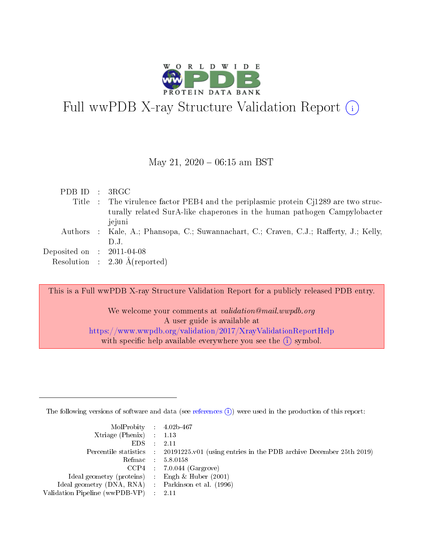

# Full wwPDB X-ray Structure Validation Report (i)

#### May 21,  $2020 - 06:15$  am BST

| PDBID : 3RGC                |                                                                                        |
|-----------------------------|----------------------------------------------------------------------------------------|
|                             | Title : The virulence factor PEB4 and the periplasmic protein Cj1289 are two struc-    |
|                             | turally related SurA-like chaperones in the human pathogen Campylobacter               |
|                             | jejuni                                                                                 |
|                             | Authors : Kale, A.; Phansopa, C.; Suwannachart, C.; Craven, C.J.; Rafferty, J.; Kelly, |
|                             | $1$ ).J.                                                                               |
| Deposited on : $2011-04-08$ |                                                                                        |
|                             | Resolution : $2.30 \text{ Å}$ (reported)                                               |

This is a Full wwPDB X-ray Structure Validation Report for a publicly released PDB entry.

We welcome your comments at validation@mail.wwpdb.org A user guide is available at <https://www.wwpdb.org/validation/2017/XrayValidationReportHelp> with specific help available everywhere you see the  $(i)$  symbol.

The following versions of software and data (see [references](https://www.wwpdb.org/validation/2017/XrayValidationReportHelp#references)  $(i)$ ) were used in the production of this report:

| $MolProbability$ 4.02b-467                          |                                                                                            |
|-----------------------------------------------------|--------------------------------------------------------------------------------------------|
| Xtriage (Phenix) $: 1.13$                           |                                                                                            |
| EDS -                                               | -2.11                                                                                      |
|                                                     | Percentile statistics : 20191225.v01 (using entries in the PDB archive December 25th 2019) |
|                                                     | Refmac 58.0158                                                                             |
|                                                     | $CCP4$ : 7.0.044 (Gargrove)                                                                |
| Ideal geometry (proteins) : Engh $\&$ Huber (2001)  |                                                                                            |
| Ideal geometry (DNA, RNA) : Parkinson et al. (1996) |                                                                                            |
| Validation Pipeline (wwPDB-VP) :                    | -2.11                                                                                      |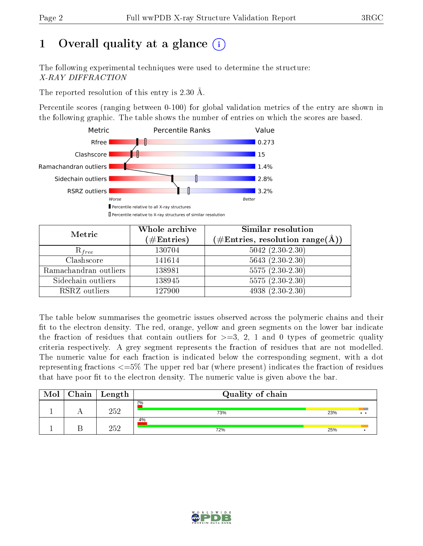# 1 [O](https://www.wwpdb.org/validation/2017/XrayValidationReportHelp#overall_quality)verall quality at a glance  $(i)$

The following experimental techniques were used to determine the structure: X-RAY DIFFRACTION

The reported resolution of this entry is 2.30 Å.

Percentile scores (ranging between 0-100) for global validation metrics of the entry are shown in the following graphic. The table shows the number of entries on which the scores are based.



| Metric                | Whole archive<br>$(\#\text{Entries})$ | Similar resolution<br>$(\#\text{Entries},\,\text{resolution}\,\,\text{range}(\textup{\AA}))$ |
|-----------------------|---------------------------------------|----------------------------------------------------------------------------------------------|
| $R_{free}$            | 130704                                | $5042$ $(2.30-2.30)$                                                                         |
| Clashscore            | 141614                                | $5643(2.30-2.30)$                                                                            |
| Ramachandran outliers | 138981                                | $5575(2.30-2.30)$                                                                            |
| Sidechain outliers    | 138945                                | $5575(2.30-2.30)$                                                                            |
| RSRZ outliers         | 127900                                | $4938(2.30-2.30)$                                                                            |

The table below summarises the geometric issues observed across the polymeric chains and their fit to the electron density. The red, orange, yellow and green segments on the lower bar indicate the fraction of residues that contain outliers for  $>=3, 2, 1$  and 0 types of geometric quality criteria respectively. A grey segment represents the fraction of residues that are not modelled. The numeric value for each fraction is indicated below the corresponding segment, with a dot representing fractions  $\epsilon=5\%$  The upper red bar (where present) indicates the fraction of residues that have poor fit to the electron density. The numeric value is given above the bar.

| Mol | $Chain$ Length | Quality of chain |     |     |
|-----|----------------|------------------|-----|-----|
|     | 252            | 2%<br>73%        | 23% | . . |
|     | 252            | 4%<br>72%        | 25% |     |

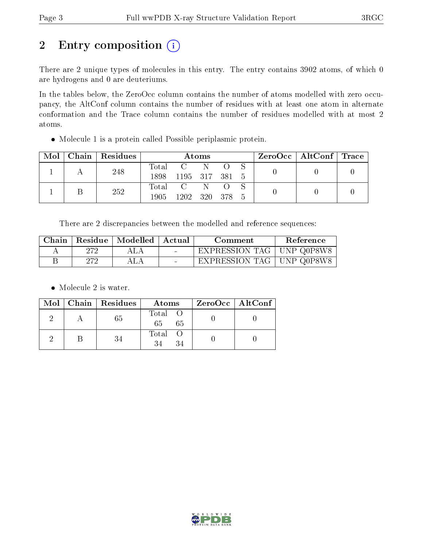# 2 Entry composition (i)

There are 2 unique types of molecules in this entry. The entry contains 3902 atoms, of which 0 are hydrogens and 0 are deuteriums.

In the tables below, the ZeroOcc column contains the number of atoms modelled with zero occupancy, the AltConf column contains the number of residues with at least one atom in alternate conformation and the Trace column contains the number of residues modelled with at most 2 atoms.

Molecule 1 is a protein called Possible periplasmic protein.

| Mol |  | Chain Residues | Atoms        |                |    |     | $\text{ZeroOcc} \mid \text{AltConf} \mid \text{Trace}$ |  |  |
|-----|--|----------------|--------------|----------------|----|-----|--------------------------------------------------------|--|--|
|     |  | 248            | Total        |                |    |     |                                                        |  |  |
|     |  |                | 1898         | 1195 317 381 5 |    |     |                                                        |  |  |
|     |  | 252            |              | Total C        | N. |     |                                                        |  |  |
|     |  | 1905.          | 1202 320 378 |                |    | - 5 |                                                        |  |  |

There are 2 discrepancies between the modelled and reference sequences:

| Chain |     | Residue   Modelled   Actual | Comment                     | Reference  |
|-------|-----|-----------------------------|-----------------------------|------------|
|       | 272 | ALA                         | EXPRESSION TAG              | UNP Q0P8W8 |
|       | 272 | ALA                         | EXPRESSION TAG   UNP Q0P8W8 |            |

• Molecule 2 is water.

|  | $Mol$   Chain   Residues | Atoms                | ZeroOcc   AltConf |
|--|--------------------------|----------------------|-------------------|
|  | 65                       | Total O<br>65<br>-65 |                   |
|  | 34                       | Total O<br>34<br>34  |                   |

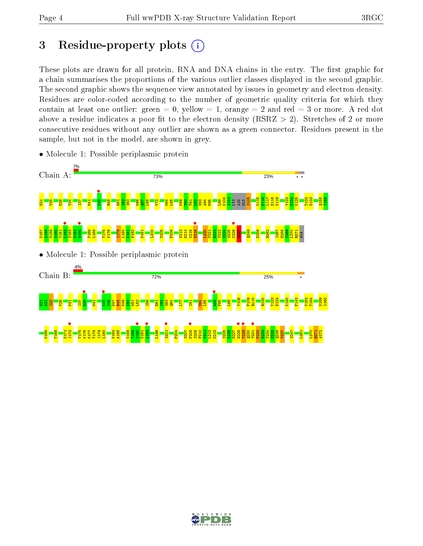# 3 Residue-property plots  $(i)$

These plots are drawn for all protein, RNA and DNA chains in the entry. The first graphic for a chain summarises the proportions of the various outlier classes displayed in the second graphic. The second graphic shows the sequence view annotated by issues in geometry and electron density. Residues are color-coded according to the number of geometric quality criteria for which they contain at least one outlier: green  $= 0$ , yellow  $= 1$ , orange  $= 2$  and red  $= 3$  or more. A red dot above a residue indicates a poor fit to the electron density (RSRZ  $> 2$ ). Stretches of 2 or more consecutive residues without any outlier are shown as a green connector. Residues present in the sample, but not in the model, are shown in grey.



• Molecule 1: Possible periplasmic protein

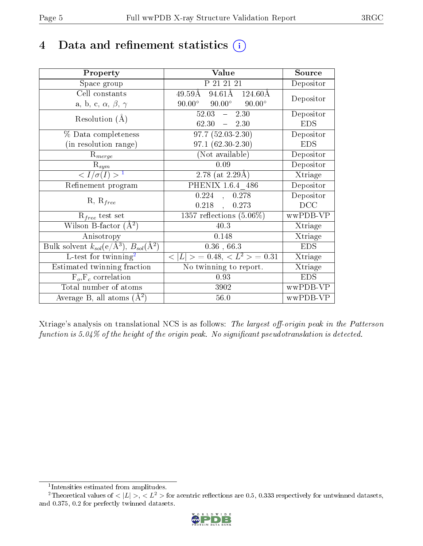# 4 Data and refinement statistics  $(i)$

| Property                                                                 | Value                                            | Source     |
|--------------------------------------------------------------------------|--------------------------------------------------|------------|
| Space group                                                              | P 21 21 21                                       | Depositor  |
| Cell constants                                                           | $94.61\text{\AA}$ $124.60\text{\AA}$<br>49.59Å   | Depositor  |
| a, b, c, $\alpha$ , $\beta$ , $\gamma$                                   | $90.00^{\circ}$ $90.00^{\circ}$<br>$90.00^\circ$ |            |
| Resolution $(A)$                                                         | $52.03 - 2.30$                                   | Depositor  |
|                                                                          | 62.30<br>$-2.30$                                 | <b>EDS</b> |
| % Data completeness                                                      | $97.7(52.03-2.30)$                               | Depositor  |
| (in resolution range)                                                    | 97.1 (62.30-2.30)                                | <b>EDS</b> |
| $R_{merge}$                                                              | (Not available)                                  | Depositor  |
| $\mathrm{R}_{sym}$                                                       | 0.09                                             | Depositor  |
| $\langle I/\sigma(I) \rangle^{-1}$                                       | 2.78 (at $2.29\text{\AA})$                       | Xtriage    |
| Refinement program                                                       | PHENIX 1.6.4 486                                 | Depositor  |
| $R, R_{free}$                                                            | 0.224<br>0.278<br>$\frac{1}{2}$                  | Depositor  |
|                                                                          | $0.218$ ,<br>0.273                               | DCC        |
| $R_{free}$ test set                                                      | 1357 reflections $(5.06\%)$                      | wwPDB-VP   |
| Wilson B-factor $(A^2)$                                                  | 40.3                                             | Xtriage    |
| Anisotropy                                                               | 0.148                                            | Xtriage    |
| Bulk solvent $k_{sol}(\mathrm{e}/\mathrm{A}^3),$ $B_{sol}(\mathrm{A}^2)$ | 0.36, 66.3                                       | <b>EDS</b> |
| L-test for twinning <sup>2</sup>                                         | $< L >$ = 0.48, $< L2 >$ = 0.31                  | Xtriage    |
| Estimated twinning fraction                                              | $\overline{\text{No}}$ twinning to report.       | Xtriage    |
| $F_o, F_c$ correlation                                                   | 0.93                                             | <b>EDS</b> |
| Total number of atoms                                                    | 3902                                             | wwPDB-VP   |
| Average B, all atoms $(A^2)$                                             | 56.0                                             | wwPDB-VP   |

Xtriage's analysis on translational NCS is as follows: The largest off-origin peak in the Patterson function is 5.04% of the height of the origin peak. No significant pseudotranslation is detected.

<sup>&</sup>lt;sup>2</sup>Theoretical values of  $\langle |L| \rangle$ ,  $\langle L^2 \rangle$  for acentric reflections are 0.5, 0.333 respectively for untwinned datasets, and 0.375, 0.2 for perfectly twinned datasets.



<span id="page-4-1"></span><span id="page-4-0"></span><sup>1</sup> Intensities estimated from amplitudes.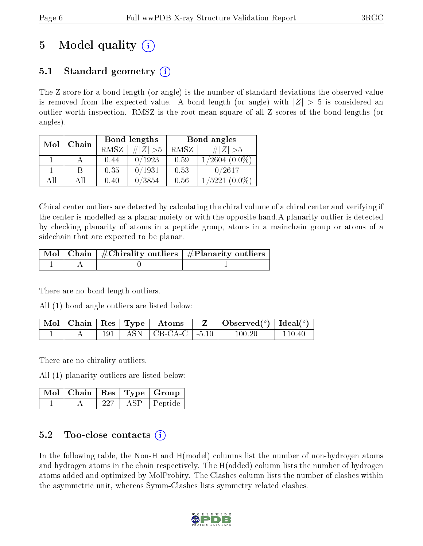# 5 Model quality  $(i)$

### 5.1 Standard geometry  $\overline{()}$

The Z score for a bond length (or angle) is the number of standard deviations the observed value is removed from the expected value. A bond length (or angle) with  $|Z| > 5$  is considered an outlier worth inspection. RMSZ is the root-mean-square of all Z scores of the bond lengths (or angles).

| Mol | Chain |             | Bond lengths | Bond angles |                     |  |
|-----|-------|-------------|--------------|-------------|---------------------|--|
|     |       | <b>RMSZ</b> | # $ Z  > 5$  | RMSZ        | # $ Z  > 5$         |  |
|     |       | 0.44        | 0/1923       | 0.59        | $1/2604~(0.0\%)$    |  |
|     | В     | 0.35        | 0/1931       | 0.53        | 0/2617              |  |
| ΑĦ  | ΑII   | 0.40        | 0/3854       | 0.56        | 1/5221<br>$(0.0\%)$ |  |

Chiral center outliers are detected by calculating the chiral volume of a chiral center and verifying if the center is modelled as a planar moiety or with the opposite hand.A planarity outlier is detected by checking planarity of atoms in a peptide group, atoms in a mainchain group or atoms of a sidechain that are expected to be planar.

|  | $\lceil \, \text{Mol} \, \rceil$ Chain $\mid \# \text{Chirality outliers} \mid \# \text{Planarity outliers} \mid$ |
|--|-------------------------------------------------------------------------------------------------------------------|
|  |                                                                                                                   |

There are no bond length outliers.

All (1) bond angle outliers are listed below:

|  |  | $\mid$ Mol $\mid$ Chain $\mid$ Res $\mid$ Type $\mid$ Atoms | $\vert$ Observed $(^\circ)\vert$ Ideal $(^\circ)$ |        |
|--|--|-------------------------------------------------------------|---------------------------------------------------|--------|
|  |  | 191   ASN   CB-CA-C   -5.10                                 | 100.20                                            | 110.40 |

There are no chirality outliers.

All (1) planarity outliers are listed below:

|  |     | $\mid$ Mol $\mid$ Chain $\mid$ Res $\mid$ Type $\mid$ Group |
|--|-----|-------------------------------------------------------------|
|  | ASP | $\vert$ Peptide                                             |

#### 5.2 Too-close contacts  $\overline{()}$

In the following table, the Non-H and H(model) columns list the number of non-hydrogen atoms and hydrogen atoms in the chain respectively. The H(added) column lists the number of hydrogen atoms added and optimized by MolProbity. The Clashes column lists the number of clashes within the asymmetric unit, whereas Symm-Clashes lists symmetry related clashes.

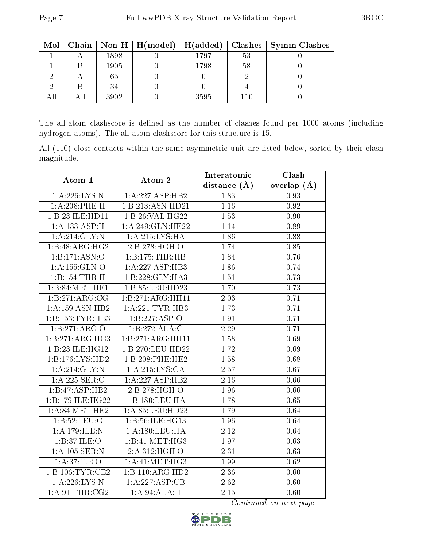|  |      | Mol   Chain   Non-H   H(model)   H(added) |      |                | $\mid$ Clashes $\mid$ Symm-Clashes |
|--|------|-------------------------------------------|------|----------------|------------------------------------|
|  | 1898 |                                           | 1797 | 5 <sup>2</sup> |                                    |
|  | 1905 |                                           | 1798 | 58             |                                    |
|  | 65   |                                           |      |                |                                    |
|  |      |                                           |      |                |                                    |
|  | 3902 |                                           | 3595 |                |                                    |

The all-atom clashscore is defined as the number of clashes found per 1000 atoms (including hydrogen atoms). The all-atom clashscore for this structure is 15.

All (110) close contacts within the same asymmetric unit are listed below, sorted by their clash magnitude.

| Atom-1            | Atom-2              | Interatomic  | Clash         |
|-------------------|---------------------|--------------|---------------|
|                   |                     | distance (Å) | overlap $(A)$ |
| 1:A:226:LYS:N     | 1:A:227:ASP:HB2     | 1.83         | 0.93          |
| $1: A:208:$ PHE:H | 1:B:213:ASN:HD21    | 1.16         | 0.92          |
| 1:B:23:ILE:HD11   | 1:B:26:VAL:HG22     | 1.53         | 0.90          |
| 1:A:133:ASP:H     | 1:A:249:GLN:HE22    | 1.14         | 0.89          |
| 1:A:214:GLY:N     | 1: A:215:LYS:HA     | 1.86         | 0.88          |
| 1:B:48:ARG:HG2    | 2:B:278:HOH:O       | 1.74         | 0.85          |
| 1:B:171:ASN:O     | 1:B:175:THR:HB      | 1.84         | 0.76          |
| 1: A: 155: GLN: O | 1:A:227:ASP:HB3     | 1.86         | 0.74          |
| 1:B:154:THR:H     | 1:B:228:GLY:HA3     | 1.51         | 0.73          |
| 1:B:84:MET:HE1    | 1:B:85:LEU:HD23     | 1.70         | 0.73          |
| 1:B:271:ARG:CG    | 1:B:271:ARG:HH11    | 2.03         | 0.71          |
| 1:A:159:ASN:HB2   | 1: A: 221: TYR: HB3 | 1.73         | 0.71          |
| 1:B:153:TYR:HB3   | 1:B:227:ASP:O       | 1.91         | 0.71          |
| 1:B:271:ARG:O     | 1:B:272:ALA:C       | 2.29         | 0.71          |
| 1:B:271:ARG:HG3   | 1:B:271:ARG:HH11    | 1.58         | 0.69          |
| 1:B:23:ILE:HG12   | 1:B:270:LEU:HD22    | 1.72         | 0.69          |
| 1:B:176:LYS:HD2   | 1:B:208:PHE:HE2     | 1.58         | 0.68          |
| 1: A:214: GLY:N   | 1: A:215: LYS:CA    | $2.57\,$     | 0.67          |
| 1: A:225: SER:C   | 1:A:227:ASP:HB2     | 2.16         | 0.66          |
| 1:B:47:ASP:HB2    | 2:B:278:HOH:O       | 1.96         | 0.66          |
| 1:B:179:ILE:HG22  | 1:B:180:LEU:HA      | 1.78         | 0.65          |
| 1: A:84:MET:HE2   | 1:A:85:LEU:HD23     | 1.79         | 0.64          |
| 1:B:52:LEU:O      | 1:B:56:ILE:HG13     | 1.96         | 0.64          |
| 1:A:179:ILE:N     | 1:A:180:LEU:HA      | 2.12         | 0.64          |
| 1:B:37:ILE:O      | 1:B:41:MET:HG3      | 1.97         | 0.63          |
| 1: A: 105: SER: N | 2:A:312:HOH:O       | 2.31         | 0.63          |
| 1:A:37:ILE:O      | 1: A:41: MET:HG3    | 1.99         | 0.62          |
| 1:B:106:TYR:CE2   | 1:B:110:ARG:HD2     | 2.36         | 0.60          |
| 1:A:226:LYS:N     | 1:A:227:ASP:CB      | 2.62         | 0.60          |
| 1: A:91:THR:CG2   | 1:A:94:ALA:H        | 2.15         | 0.60          |

Continued on next page...

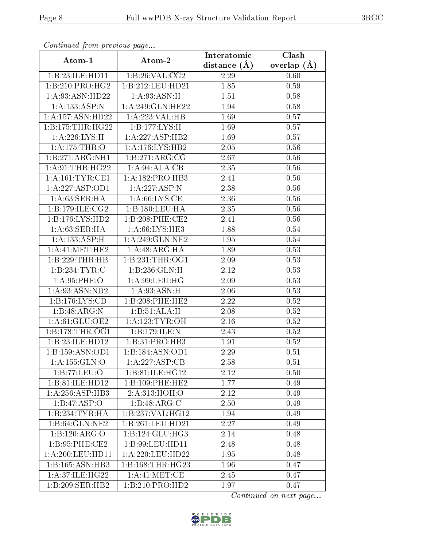| Comunaca jiom previous page  |                              | Interatomic       | Clash           |
|------------------------------|------------------------------|-------------------|-----------------|
| Atom-1                       | Atom-2                       | distance $(A)$    | overlap $(\AA)$ |
| 1:B:23:ILE:HD11              | 1:B:26:VAL:CG2               | 2.29              | 0.60            |
| 1:B:210:PRO:HG2              | 1:B:212:LEU:HD21             | 1.85              | 0.59            |
| 1:A:93:ASN:HD22              | 1: A:93: ASN:H               | 1.51              | 0.58            |
| 1:A:133:ASP:N                | 1: A:249: GLN: HE22          | 1.94              | 0.58            |
| 1:A:157:ASN:HD22             | 1:A:223:VAL:HB               | 1.69              | 0.57            |
| 1:B:175:THR:HG22             | 1:B:177:LYS:H                | 1.69              | 0.57            |
| 1:A:226:LYS:H                | 1:A:227:ASP:HB2              | 1.69              | 0.57            |
| 1: A:175:THR:O               | 1: A:176: LYS: HB2           | 2.05              | 0.56            |
| 1:B:271:ARG:NH1              | 1:B:271:ARG:CG               | $\overline{2.67}$ | 0.56            |
| 1: A:91:THR:HG22             | 1:A:94:ALA:CB                | 2.35              | 0.56            |
| 1: A: 161: TYR: CE1          | 1:A:182:PRO:HB3              | 2.41              | 0.56            |
| 1:A:227:ASP:OD1              | 1:A:227:ASP:N                | 2.38              | $0.56\,$        |
| 1: A:63: SER: HA             | 1: A:66: LYS:CE              | 2.36              | 0.56            |
| 1: B: 179: ILE: CG2          | 1:B:180:LEU:HA               | 2.35              | 0.56            |
| 1:B:176:LYS:HD2              | 1:B:208:PHE:CE2              | 2.41              | 0.56            |
| 1:A:63:SER:HA                | 1: A:66: LYS: HE3            | 1.88              | 0.54            |
| 1: A: 133: ASP:H             | 1: A:249: GLN:NE2            | 1.95              | 0.54            |
| 1: A: 41: MET: HE2           | 1:A:48:ARG:HA                | 1.89              | 0.53            |
| 1:B:229:THR:HB               | 1:B:231:THR:OG1              | 2.09              | 0.53            |
| 1:B:234:TYR:C                | 1:B:236:GLN:H                | 2.12              | 0.53            |
| 1: A:95:PHE:O                | 1: A:99: LEU: HG             | 2.09              | 0.53            |
| 1: A:93: ASN:ND2             | 1: A:93: ASN:H               | 2.06              | 0.53            |
| 1:B:176:LYS:CD               | 1:B:208:PHE:HE2              | 2.22              | 0.52            |
| 1:B:48:ARG:N                 | 1:B:51:ALA:H                 | 2.08              | 0.52            |
| 1: A:61: GLU:OE2             | 1: A:123: TYR: OH            | 2.16              | 0.52            |
| 1: B: 178: THR: OG1          | 1:B:179:ILE:N                | 2.43              | $0.52\,$        |
| 1:B:23:ILE:HD12              | 1:B:31:PRO:HB3               | 1.91              | 0.52            |
| 1:B:159:ASN:OD1              | 1:B:184:ASN:OD1              | 2.29              | 0.51            |
| 1:A:155:GLN:O                | 1:A:227:ASP:CB               | 2.58              | 0.51            |
| 1:B:77:LEU:O                 | 1:B:81:ILE:HG12              | 2.12              | 0.50            |
| 1:B:81:ILE:HD12              | 1:B:109:PHE:HE2              | 1.77              | 0.49            |
| 1:A:256:ASP:HB3              | 2:A:313:HOH:O                | 2.12              | 0.49            |
| 1:B:47:ASP:O                 | 1:B:48:ARG:C                 | 2.50              | 0.49            |
| 1:B:234:TYR:HA               | 1:B:237:VAL:HG12             | 1.94              | 0.49            |
| $1:B:64:GLN:N\overline{E2}$  | 1:B:261:LEU:HD21             | 2.27              | 0.49            |
| 1:B:120:ARG:O                | 1:B:124:GLU:HG3              | 2.14              | 0.48            |
| 1:B:95:PHE:CE2               | 1:B:99:LEU:HD11              | 2.48              | 0.48            |
| 1: A:200:LEU:HD11            | 1:A:220:LEU:HD22             | 1.95              | 0.48            |
| $1:B:165:ASN:H\overline{B3}$ | 1: B: 168: THR: HG23         | 1.96              | 0.47            |
| 1: A:37: ILE: HG22           | 1: A: 41: MET: CE            | 2.45              | 0.47            |
| 1:B:209:SER:HB2              | $1:B:210:PRO:H\overline{D2}$ | 1.97              | 0.47            |

Continued from previous page.

Continued on next page...

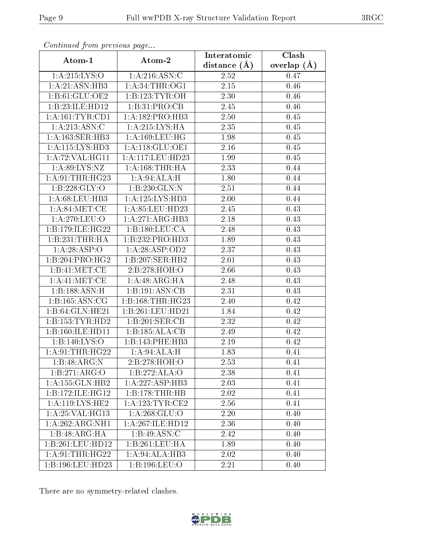| Continuatu from previous page |                      | Interatomic      | Clash           |
|-------------------------------|----------------------|------------------|-----------------|
| Atom-1                        | Atom-2               | distance $(\AA)$ | overlap $(\AA)$ |
| 1: A:215: LYS:O               | 1:A:216:ASN:C        | $2.52\,$         | 0.47            |
| 1: A:21: ASN:HB3              | 1: A:34:THR:OG1      | 2.15             | 0.46            |
| 1: B: 61: GLU: OE2            | 1:B:123:TYR:OH       | 2.30             | 0.46            |
| 1:B:23:ILE:HD12               | 1:B:31:PRO:CB        | 2.45             | 0.46            |
| 1:A:161:TYR:CD1               | 1:A:182:PRO:HB3      | 2.50             | 0.45            |
| 1:A:213:ASN:C                 | 1: A:215:LYS:HA      | 2.35             | 0.45            |
| 1:A:163:SER:HB3               | 1: A: 169: LEU: HG   | 1.98             | $0.45\,$        |
| 1: A: 115: LYS: HD3           | 1: A:118: GLU:OE1    | 2.16             | 0.45            |
| 1:A:72:VAL:HG11               | 1:A:117:LEU:HD23     | 1.99             | 0.45            |
| 1: A:89: LYS: NZ              | 1: A: 168: THR: HA   | 2.33             | 0.44            |
| 1: A:91:THR:HG23              | 1:A:94:ALA:H         | 1.80             | 0.44            |
| 1:B:228:GLY:O                 | 1:B:230:GLN:N        | 2.51             | 0.44            |
| 1: A:68:LEU:HB3               | 1: A: 125: LYS: HD3  | 2.00             | 0.44            |
| 1: A:84:MET:CE                | 1: A:85: LEU:HD23    | 2.45             | 0.43            |
| $1:A:270:LE\overline{U:O}$    | 1:A:271:ARG:HB3      | 2.18             | 0.43            |
| 1:B:179:ILE:HG22              | 1:B:180:LEU:CA       | 2.48             | 0.43            |
| 1:B:231:THR:HA                | 1:B:232:PRO:HD3      | 1.89             | 0.43            |
| 1:A:28:ASP:O                  | 1: A:28:ASP:OD2      | 2.37             | 0.43            |
| $1:B:204:PR\overline{O:HG2}$  | 1:B:207:SER:HB2      | 2.01             | 0.43            |
| 1:B:41:MET:CE                 | 2:B:278:HOH:O        | 2.66             | 0.43            |
| 1: A: 41: MET: CE             | 1:A:48:ARG:HA        | 2.48             | 0.43            |
| 1:B:188:ASN:H                 | 1:B:191:ASN:CB       | 2.31             | 0.43            |
| 1: B: 165: ASN: CG            | 1: B: 168: THR: HG23 | 2.40             | 0.42            |
| 1:B:64:GLN:HE21               | 1:B:261:LEU:HD21     | 1.84             | 0.42            |
| 1: B: 153: TYR: HD2           | 1:B:201:SER:CB       | 2.32             | 0.42            |
| 1:B:160:ILE:HD11              | 1:B:185:ALA:CB       | 2.49             | 0.42            |
| 1:B:140:LYS:O                 | 1:B:143:PHE:HB3      | 2.19             | 0.42            |
| 1: A:91:THR:HG22              | 1:A:94:ALA:H         | 1.83             | 0.41            |
| 1:B:48:ARG:N                  | 2:B:278:HOH:O        | 2.53             | 0.41            |
| 1:B:271:ARG:O                 | 1:B:272:ALA:O        | 2.38             | 0.41            |
| 1: A: 155: GLN: HB2           | 1:A:227:ASP:HB3      | 2.03             | 0.41            |
| 1:B:172:ILE:HG12              | 1:B:178:THR:HB       | 2.02             | 0.41            |
| 1:A:119:LYS:HE2               | 1: A: 123: TYR: CE2  | 2.56             | 0.41            |
| 1: A:25: VAL:HG13             | 1: A:268: GLU:O      | 2.20             | 0.40            |
| 1:A:262:ARG:NH1               | 1:A:267:ILE:HD12     | 2.36             | 0.40            |
| 1:B:48:ARG:HA                 | 1: B:49: ASN: C      | 2.42             | 0.40            |
| 1:B:261:LEU:HD12              | 1:B:261:LEU:HA       | 1.89             | 0.40            |
| 1: A:91:THR:HG22              | 1: A:94: ALA:HB3     | 2.02             | 0.40            |
| 1:B:196:LEU:HD23              | 1:B:196:LEU:O        | 2.21             | 0.40            |

Continued from previous page.

There are no symmetry-related clashes.

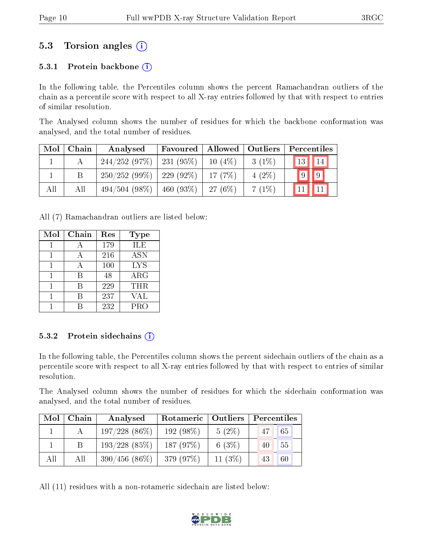### 5.3 Torsion angles (i)

#### 5.3.1 Protein backbone  $(i)$

In the following table, the Percentiles column shows the percent Ramachandran outliers of the chain as a percentile score with respect to all X-ray entries followed by that with respect to entries of similar resolution.

The Analysed column shows the number of residues for which the backbone conformation was analysed, and the total number of residues.

| Mol | Chain | Analysed                     | Favoured    | Allowed   | $\vert$ Outliers | Percentiles                            |
|-----|-------|------------------------------|-------------|-----------|------------------|----------------------------------------|
|     |       | 244/252(97%)                 | 231 (95%)   | $10(4\%)$ | $3(1\%)$         | $\vert 13 \vert$<br>$\vert$ 14 $\vert$ |
|     |       | $250/252(99\%)$   229 (92\%) |             | 17(7%)    | $4(2\%)$         | $\sqrt{9}$<br>$\vert\vert 9 \vert$     |
| All | All   | 494/504(98%)                 | $460(93\%)$ | 27(6%)    | $7(1\%)$         |                                        |

All (7) Ramachandran outliers are listed below:

| Mol | Chain | Res | <b>Type</b> |
|-----|-------|-----|-------------|
|     |       | 179 | ILE         |
|     |       | 216 | <b>ASN</b>  |
|     |       | 100 | <b>LYS</b>  |
|     | R     | 48  | $\rm{ARG}$  |
|     | R     | 229 | <b>THR</b>  |
|     |       | 237 | VAL         |
|     |       | 232 | <b>PRO</b>  |

#### 5.3.2 Protein sidechains  $(i)$

In the following table, the Percentiles column shows the percent sidechain outliers of the chain as a percentile score with respect to all X-ray entries followed by that with respect to entries of similar resolution.

The Analysed column shows the number of residues for which the sidechain conformation was analysed, and the total number of residues.

| Mol | Chain | Analysed         | Rotameric   Outliers |           | Percentiles |
|-----|-------|------------------|----------------------|-----------|-------------|
|     |       | $197/228$ (86\%) | $192(98\%)$          | $5(2\%)$  | 65<br>47    |
|     |       | $193/228$ (85%)  | 187(97%)             | 6 $(3%)$  | 55<br>40    |
| All | All   | $390/456(86\%)$  | 379 (97%)            | 11 $(3%)$ | 60<br>43    |

All (11) residues with a non-rotameric sidechain are listed below:

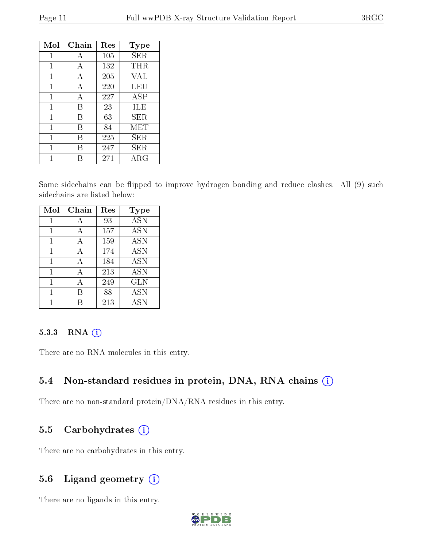| Mol | Chain | Res | Type        |
|-----|-------|-----|-------------|
| 1   | A     | 105 | SER         |
| 1   | A     | 132 | THR         |
| 1   | A     | 205 | <b>VAL</b>  |
| 1   | A     | 220 | LEU         |
| 1   | A     | 227 | ASP         |
| 1   | В     | 23  | ILE         |
| 1   | В     | 63  | SER.        |
| 1   | В     | 84  | MET         |
| 1   | R     | 225 | SER         |
| 1   | R     | 247 | SER         |
|     |       | 271 | ${\rm ARG}$ |

Some sidechains can be flipped to improve hydrogen bonding and reduce clashes. All (9) such sidechains are listed below:

| Mol | Chain | Res | Type       |
|-----|-------|-----|------------|
| 1   | А     | 93  | <b>ASN</b> |
| 1   | А     | 157 | <b>ASN</b> |
| 1   | А     | 159 | ASN        |
| 1   | A     | 174 | <b>ASN</b> |
| 1   | А     | 184 | <b>ASN</b> |
| 1   | A     | 213 | ASN        |
| 1   | А     | 249 | <b>GLN</b> |
| 1   | R     | 88  | ASN        |
|     |       | 213 | ASN        |

#### 5.3.3 RNA [O](https://www.wwpdb.org/validation/2017/XrayValidationReportHelp#rna)i

There are no RNA molecules in this entry.

#### 5.4 Non-standard residues in protein, DNA, RNA chains (i)

There are no non-standard protein/DNA/RNA residues in this entry.

#### 5.5 Carbohydrates (i)

There are no carbohydrates in this entry.

#### 5.6 Ligand geometry  $(i)$

There are no ligands in this entry.

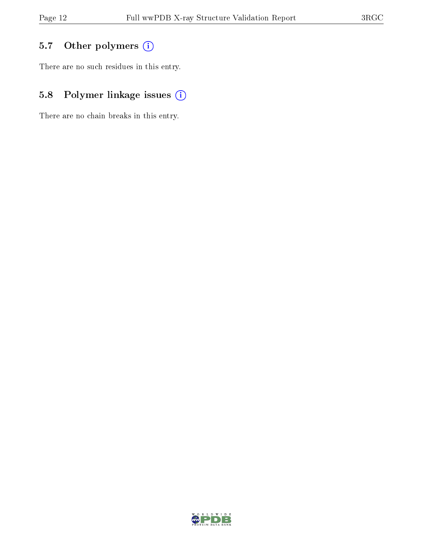## 5.7 [O](https://www.wwpdb.org/validation/2017/XrayValidationReportHelp#nonstandard_residues_and_ligands)ther polymers (i)

There are no such residues in this entry.

## 5.8 Polymer linkage issues (i)

There are no chain breaks in this entry.

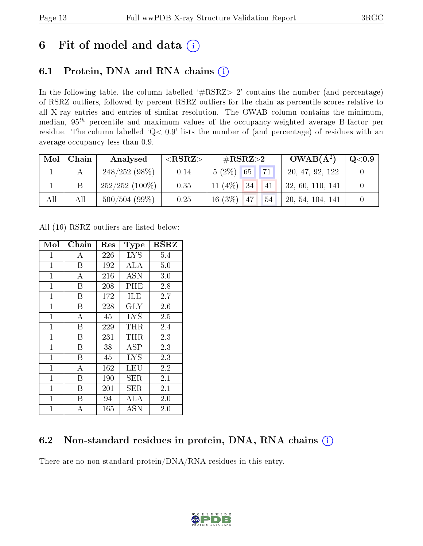## 6 Fit of model and data  $(i)$

### 6.1 Protein, DNA and RNA chains  $(i)$

In the following table, the column labelled  $#RSRZ> 2'$  contains the number (and percentage) of RSRZ outliers, followed by percent RSRZ outliers for the chain as percentile scores relative to all X-ray entries and entries of similar resolution. The OWAB column contains the minimum, median,  $95<sup>th</sup>$  percentile and maximum values of the occupancy-weighted average B-factor per residue. The column labelled ' $Q< 0.9$ ' lists the number of (and percentage) of residues with an average occupancy less than 0.9.

| Mol | Chain | Analysed         | ${ <\hspace{-1.5pt}{\mathrm{RSRZ}} \hspace{-1.5pt}>}$ | $\#\text{RSRZ}\text{>2}$ | $OWAB(A^2)$      | $\rm Q\textcolor{black}{<}0.9$ |
|-----|-------|------------------|-------------------------------------------------------|--------------------------|------------------|--------------------------------|
|     |       | $248/252(98\%)$  | 0.14                                                  | 71<br>$5(2\%)$<br>65     | 20, 47, 92, 122  |                                |
|     |       | $252/252$ (100%) | 0.35                                                  | 11 $(4\%)$ 34<br>-41     | 32, 60, 110, 141 |                                |
| All | All   | 500/504(99%)     | 0.25                                                  | $16(3\%)$ 47<br>54       | 20, 54, 104, 141 |                                |

All (16) RSRZ outliers are listed below:

| Mol          | ${\rm Chain}$ | $\operatorname{Res}% \left( \mathcal{N}\right) \equiv\operatorname{Res}(\mathcal{N}_{0})\cap\mathcal{N}_{1}$ | Type       | $_{\rm RSRZ}$ |
|--------------|---------------|--------------------------------------------------------------------------------------------------------------|------------|---------------|
| $\mathbf{1}$ | А             | 226                                                                                                          | <b>LYS</b> | 5.4           |
| $\mathbf{1}$ | Β             | 192                                                                                                          | ALA        | 5.0           |
| $\mathbf{1}$ | A             | 216                                                                                                          | ASN        | 3.0           |
| $\mathbf 1$  | Β             | 208                                                                                                          | PHE        | 2.8           |
| $\mathbf{1}$ | B             | $\overline{1}$ 72                                                                                            | ILE        | 2.7           |
| $\mathbf{1}$ | B             | 228                                                                                                          | $\rm GLY$  | 2.6           |
| $\mathbf{1}$ | A             | 45                                                                                                           | <b>LYS</b> | 2.5           |
| $\mathbf{1}$ | Β             | 229                                                                                                          | THR        | 2.4           |
| $\mathbf 1$  | Β             | 231                                                                                                          | THR        | 2.3           |
| $\mathbf{1}$ | B             | 38                                                                                                           | <b>ASP</b> | 2.3           |
| $\mathbf{1}$ | B             | 45                                                                                                           | <b>LYS</b> | 2.3           |
| $\mathbf 1$  | А             | 162                                                                                                          | LEU        | 2.2           |
| $\mathbf 1$  | Β             | 190                                                                                                          | SER        | $2.1\,$       |
| $\mathbf 1$  | Β             | 201                                                                                                          | SER        | 2.1           |
| $\mathbf{1}$ | B             | 94                                                                                                           | ALA        | 2.0           |
| $\mathbf{1}$ | A             | 165                                                                                                          | <b>ASN</b> | 2.0           |

### 6.2 Non-standard residues in protein, DNA, RNA chains  $(i)$

There are no non-standard protein/DNA/RNA residues in this entry.